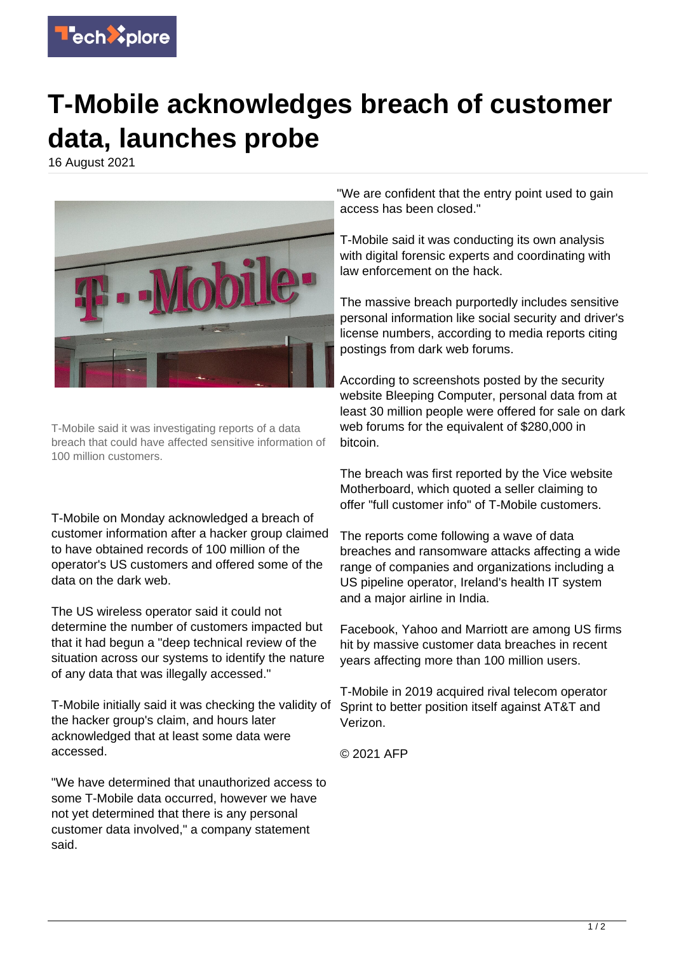

## **T-Mobile acknowledges breach of customer data, launches probe**

16 August 2021



T-Mobile said it was investigating reports of a data breach that could have affected sensitive information of 100 million customers.

T-Mobile on Monday acknowledged a breach of customer information after a hacker group claimed to have obtained records of 100 million of the operator's US customers and offered some of the data on the dark web.

The US wireless operator said it could not determine the number of customers impacted but that it had begun a "deep technical review of the situation across our systems to identify the nature of any data that was illegally accessed."

T-Mobile initially said it was checking the validity of the hacker group's claim, and hours later acknowledged that at least some data were accessed.

"We have determined that unauthorized access to some T-Mobile data occurred, however we have not yet determined that there is any personal customer data involved," a company statement said.

"We are confident that the entry point used to gain access has been closed."

T-Mobile said it was conducting its own analysis with digital forensic experts and coordinating with law enforcement on the hack.

The massive breach purportedly includes sensitive personal information like social security and driver's license numbers, according to media reports citing postings from dark web forums.

According to screenshots posted by the security website Bleeping Computer, personal data from at least 30 million people were offered for sale on dark web forums for the equivalent of \$280,000 in bitcoin.

The breach was first reported by the Vice website Motherboard, which quoted a seller claiming to offer "full customer info" of T-Mobile customers.

The reports come following a wave of data breaches and ransomware attacks affecting a wide range of companies and organizations including a US pipeline operator, Ireland's health IT system and a major airline in India.

Facebook, Yahoo and Marriott are among US firms hit by massive customer data breaches in recent years affecting more than 100 million users.

T-Mobile in 2019 acquired rival telecom operator Sprint to better position itself against AT&T and Verizon.

© 2021 AFP